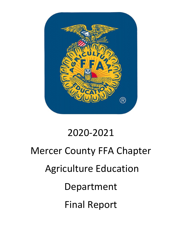

# 2020-2021

# Mercer County FFA Chapter Agriculture Education Department Final Report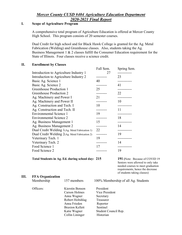## Mercer County CUSD #404 Agriculture Education Department 2020-2021 Final Report

## I. Scope of Agriculture Program

A comprehensive total program of Agriculture Education is offered at Mercer County High School. This program consists of 20 semester courses.

 Dual Credit for high school and for Black Hawk College is granted for the Ag. Metal Fabrication (Welding) and Greenhouse classes. Also, students taking the Ag. Business Management 1 & 2 classes fulfill the Consumer Education requirement for the State of Illinois. Four classes receive a science credit.

#### II. Enrollment by Classes

|                                                | Fall Sem.  | Spring Sem.  |
|------------------------------------------------|------------|--------------|
| Introduction to Agriculture Industry 1         | 27         |              |
| Introduction to Agriculture Industry 2         | ---------  | 23           |
| Basic Ag. Science 1                            | 40         | -----------  |
| Basic Ag. Science 2                            | .          | 41           |
| Greenhouse Production 1                        | 25         |              |
| Greenhouse Production 2                        | ---------  | 22           |
| Ag. Machinery and Power I                      | 21         |              |
| Ag. Machinery and Power II                     | --------   | 10           |
| Ag. Construction and Tech. I                   | 10         |              |
| Ag. Construction and Tech. II                  | ---------  | 11           |
| <b>Environmental Science 1</b>                 | 19         | -----------  |
| <b>Environmental Science 2</b>                 |            | 18           |
| Ag. Business Management 1                      | 15         | ------------ |
| Ag. Business Management 2                      | ---------  | 14           |
| Dual Credit Welding 1(Ag. Metal Fabrication 1) | 22         | ------------ |
| Dual Credit Welding 2(Ag. Metal Fabrication 2) | ---------  | 19           |
| Veterinary Tech. 1                             | 19         | ------------ |
| Veterinary Tech. 2                             | ---------  | 14           |
| Food Science 1                                 | 17         | -----------  |
| Food Science 2                                 | . <u>.</u> | 19           |
|                                                |            |              |

Total Students in Ag. Ed. during school day: 215 191 (Note: Because of COVID 19

 Seniors were allowed to only take needed courses to meet graduation requirements, hence the decrease of students taking classes)

#### III. FFA Organization

| . | 1111 01 <b>Annieutron</b><br>Membership | 157 members            | 100% Membership of all Ag. Students |
|---|-----------------------------------------|------------------------|-------------------------------------|
|   | Officers:                               | Kierstin Benson        | President                           |
|   |                                         | Carson Holmes          | Vice President                      |
|   |                                         | Anna Wagner            | Secretary                           |
|   |                                         | Robert Holtshlag       | Treasurer                           |
|   |                                         | Anna Frieden           | Reporter                            |
|   |                                         | <b>Braxton Kellett</b> | Sentinel                            |
|   |                                         | Katie Wagner           | Student Council Rep.                |
|   |                                         | Collin Lininger        | Historian                           |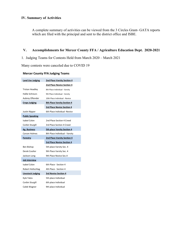#### IV. Summary of Activities

A complete summary of activities can be viewed from the 3 Circles Grant- GATA reports which are filed with the principal and sent to the district office and ISBE.

#### V. Accomplishments for Mercer County FFA / Agriculture Education Dept. 2020-2021

1. Judging Teams for Contests Held from March 2020 – March 2021

Many contests were canceled due to COVID 19

#### Mercer County FFA Judging Teams

| <b>Land Use Judging</b>  | <b>2nd Place Varsity Section 4</b> |  |
|--------------------------|------------------------------------|--|
|                          | 2nd Place Novice Section 4         |  |
| <b>Tristan Headley</b>   | 8th Place Individual - Varsity     |  |
| Hallie Schreurs          | 9th Place Individual - Varsity     |  |
| Aubrey Oftender          | 10th Place Individual - Novice     |  |
| <b>Crops Judging</b>     | <b>8th Place Varsity Section 4</b> |  |
|                          | 3rd Place Novice Section 4         |  |
| Justin Nipper            | 6th Place Individual -Novice       |  |
| <b>Public Speaking</b>   |                                    |  |
| Isabel Colon             | 2nd Place Section 4 Creed          |  |
| Corbin Sturgill          | 3rd Place Section 4 Creed          |  |
| Ag. Business             | 5th place Varsity Section 4        |  |
| <b>Carson Holmes</b>     | 8th Place Individual - Varsity     |  |
| Forestry                 | 2nd Place Varsity Section 4        |  |
|                          | 3rd Place Novice Section 4         |  |
| Ben Bishop               | 5th place Varsity Sec. 4           |  |
| Derek Coulter            | 9th Place Varsity Sec. 4           |  |
| Jackson Long             | 9th Place Novice Sec.4             |  |
| Job Interview            |                                    |  |
| <b>Isabel Colon</b>      | 6th Place - Section 4              |  |
| Robert Holtschlag        | 4th Place - Section 4              |  |
| <b>Livestock Judging</b> | 3rd Novice Section 4               |  |
| Kyle Yates               | 5th place Individual               |  |
| Corbin Sturgill          | 6th place Individual               |  |
| Caleb Wagner             | 9th place Individual               |  |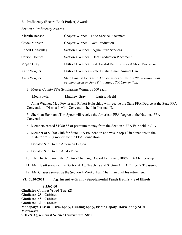2. Proficiency (Record Book Project) Awards

Section 4 Proficiency Awards

| Kierstin Benson   | Chapter Winner - Food Service Placement                                                                                           |
|-------------------|-----------------------------------------------------------------------------------------------------------------------------------|
| Caidel Monson     | Chapter Winner – Goat Production                                                                                                  |
| Robert Holtschlag | Section 4 Winner – Agriculture Services                                                                                           |
| Carson Holmes     | Section 4 Winner – Beef Production Placement                                                                                      |
| Megan Gray        | District 1 Winner – State Finalist Div. Livestock & Sheep Production                                                              |
| Katie Wagner      | District 1 Winner-State Finalist Small Animal Care                                                                                |
| Anna Wagner       | State Finalist for Star in Agri-business of Illinois (State winner will<br>be announced on June $8^{th}$ at State FFA Convention) |

3. Mercer County FFA Scholarship Winners \$500 each:

Meg Fowler Matthew Gray Larissa Neeld

4. Anna Wagner, Meg Fowler and Robert Holtschlag will receive the State FFA Degree at the State FFA Convention - District 1 Mini-Convention held in Normal, IL.

5. Sheridan Hank and Tori Speer will receive the American FFA Degree at the National FFA Convention.

- 6. Members earned \$1080.53 of premium money from the Section 4 FFA Fair held in July.
- 7. Member of \$4000 Club for State FFA Foundation and was in top 10 in donations to the state for raising money for the FFA Foundation.
- 8. Donated \$250 to the American Legion.
- 9. Donated \$250 to the Aledo VFW
- 10. The chapter earned the Century Challenge Award for having 100% FFA Membership
- 11. Mr. Heartt serves as the Section 4 Ag. Teachers and Section 4 FFA Officer's Treasurer.
- 12. Mr. Chausse served as the Section 4 Vo-Ag. Fair Chairman until his retirement.

#### VI. 2020-2021 Ag. Incentive Grant - Supplemental Funds from State of Illinois

 \$ 3562.00 Gladiator Cabinet Wood Top (2) Gladiator 28" Cabinet Gladiator 48" Cabinet Gladiator 30" Cabinet Monopoly: Classic, Farm-opoly, Hunting-opoly, Fishing-opoly, Horse-opoly \$100 Microwave iCEV's Agricultural Science Curriculum \$850